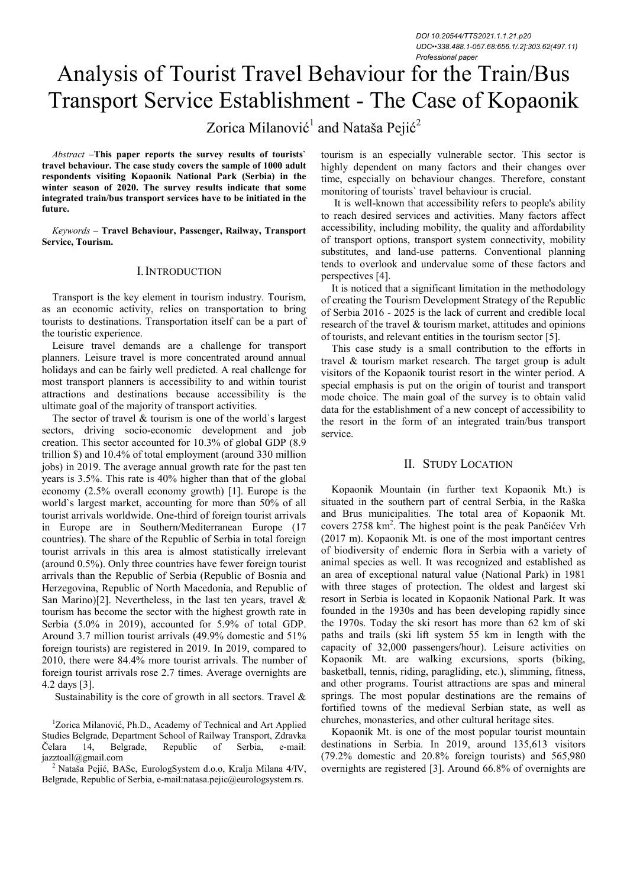*DOI 10.20544/TTS2021.1.1.21.p20 UDC••338.488.1-057.68:656.1/.2]:303.62(497.11) Professional paper*

# Analysis of Tourist Travel Behaviour for the Train/Bus Transport Service Establishment - The Case of Kopaonik

# Zorica Milanović<sup>1</sup> and Nataša Pejić<sup>2</sup>

*Abstract –***This paper reports the survey results of tourists` travel behaviour. The case study covers the sample of 1000 adult respondents visiting Kopaonik National Park (Serbia) in the winter season of 2020. The survey results indicate that some integrated train/bus transport services have to be initiated in the future.** 

*Keywords –* **Travel Behaviour, Passenger, Railway, Transport Service, Tourism.** 

# I.INTRODUCTION

Transport is the key element in tourism industry. Tourism, as an economic activity, relies on transportation to bring tourists to destinations. Transportation itself can be a part of the touristic experience.

Leisure travel demands are a challenge for transport planners. Leisure travel is more concentrated around annual holidays and can be fairly well predicted. A real challenge for most transport planners is accessibility to and within tourist attractions and destinations because accessibility is the ultimate goal of the majority of transport activities.

The sector of travel  $\&$  tourism is one of the world's largest sectors, driving socio-economic development and job creation. This sector accounted for 10.3% of global GDP (8.9 trillion \$) and 10.4% of total employment (around 330 million jobs) in 2019. The average annual growth rate for the past ten years is 3.5%. This rate is 40% higher than that of the global economy (2.5% overall economy growth) [1]. Europe is the world`s largest market, accounting for more than 50% of all tourist arrivals worldwide. One-third of foreign tourist arrivals in Europe are in Southern/Mediterranean Europe (17 countries). The share of the Republic of Serbia in total foreign tourist arrivals in this area is almost statistically irrelevant (around 0.5%). Only three countries have fewer foreign tourist arrivals than the Republic of Serbia (Republic of Bosnia and Herzegovina, Republic of North Macedonia, and Republic of San Marino)[2]. Nevertheless, in the last ten years, travel  $\&$ tourism has become the sector with the highest growth rate in Serbia (5.0% in 2019), accounted for 5.9% of total GDP. Around 3.7 million tourist arrivals (49.9% domestic and 51% foreign tourists) are registered in 2019. In 2019, compared to 2010, there were 84.4% more tourist arrivals. The number of foreign tourist arrivals rose 2.7 times. Average overnights are 4.2 days [3].

Sustainability is the core of growth in all sectors. Travel  $\&$ 

<sup>1</sup>Zorica Milanović, Ph.D., Academy of Technical and Art Applied Studies Belgrade, Department School of Railway Transport, Zdravka Čelara 14, Belgrade, Republic of Serbia, e-mail: jazztoall@gmail.com

<sup>2</sup> Nataša Pejić, BASc, EurologSystem d.o.o, Kralja Milana 4/IV, Belgrade, Republic of Serbia, e-mail:natasa.pejic@eurologsystem.rs.

tourism is an especially vulnerable sector. This sector is highly dependent on many factors and their changes over time, especially on behaviour changes. Therefore, constant monitoring of tourists` travel behaviour is crucial.

 It is well-known that accessibility refers to people's ability to reach desired services and activities. Many factors affect accessibility, including mobility, the quality and affordability of transport options, transport system connectivity, mobility substitutes, and land-use patterns. Conventional planning tends to overlook and undervalue some of these factors and perspectives [4].

It is noticed that a significant limitation in the methodology of creating the Tourism Development Strategy of the Republic of Serbia 2016 - 2025 is the lack of current and credible local research of the travel & tourism market, attitudes and opinions of tourists, and relevant entities in the tourism sector [5].

This case study is a small contribution to the efforts in travel & tourism market research. The target group is adult visitors of the Kopaonik tourist resort in the winter period. A special emphasis is put on the origin of tourist and transport mode choice. The main goal of the survey is to obtain valid data for the establishment of a new concept of accessibility to the resort in the form of an integrated train/bus transport service.

# II. STUDY LOCATION

Kopaonik Mountain (in further text Kopaonik Mt.) is situated in the southern part of central Serbia, in the Raška and Brus municipalities. The total area of Kopaonik Mt. covers 2758 km<sup>2</sup>. The highest point is the peak Pančićev Vrh (2017 m). Kopaonik Mt. is one of the most important centres of biodiversity of endemic flora in Serbia with a variety of animal species as well. It was recognized and established as an area of exceptional natural value (National Park) in 1981 with three stages of protection. The oldest and largest ski resort in Serbia is located in Kopaonik National Park. It was founded in the 1930s and has been developing rapidly since the 1970s. Today the ski resort has more than 62 km of ski paths and trails (ski lift system 55 km in length with the capacity of 32,000 passengers/hour). Leisure activities on Kopaonik Mt. are walking excursions, sports (biking, basketball, tennis, riding, paragliding, etc.), slimming, fitness, and other programs. Tourist attractions are spas and mineral springs. The most popular destinations are the remains of fortified towns of the medieval Serbian state, as well as churches, monasteries, and other cultural heritage sites.

Kopaonik Mt. is one of the most popular tourist mountain destinations in Serbia. In 2019, around 135,613 visitors (79.2% domestic and 20.8% foreign tourists) and 565,980 overnights are registered [3]. Around 66.8% of overnights are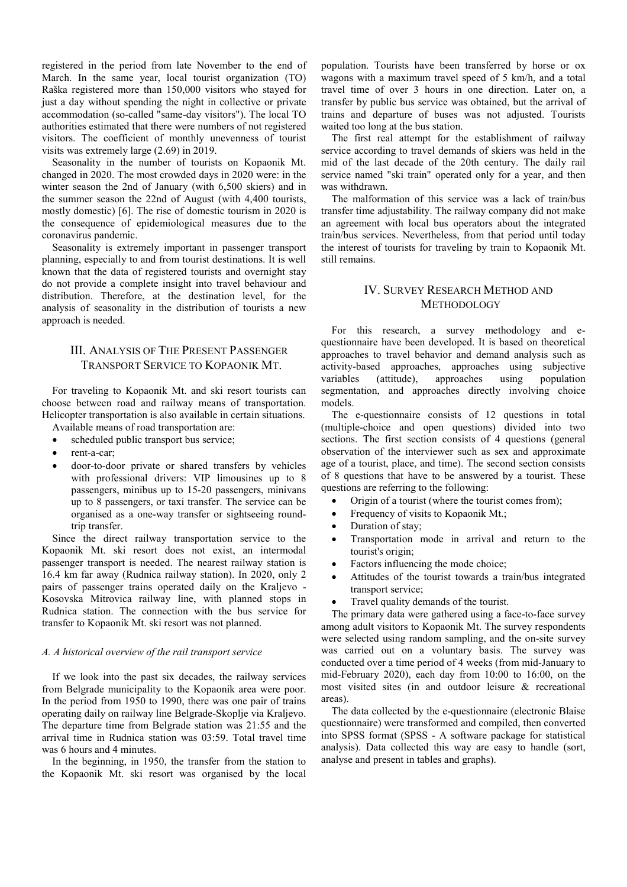registered in the period from late November to the end of March. In the same year, local tourist organization (TO) Raška registered more than 150,000 visitors who stayed for just a day without spending the night in collective or private accommodation (so-called "same-day visitors"). The local TO authorities estimated that there were numbers of not registered visitors. The coefficient of monthly unevenness of tourist visits was extremely large (2.69) in 2019.

Seasonality in the number of tourists on Kopaonik Mt. changed in 2020. The most crowded days in 2020 were: in the winter season the 2nd of January (with 6,500 skiers) and in the summer season the 22nd of August (with 4,400 tourists, mostly domestic) [6]. The rise of domestic tourism in 2020 is the consequence of epidemiological measures due to the coronavirus pandemic.

Seasonality is extremely important in passenger transport planning, especially to and from tourist destinations. It is well known that the data of registered tourists and overnight stay do not provide a complete insight into travel behaviour and distribution. Therefore, at the destination level, for the analysis of seasonality in the distribution of tourists a new approach is needed.

# III. ANALYSIS OF THE PRESENT PASSENGER TRANSPORT SERVICE TO KOPAONIK MT.

For traveling to Kopaonik Mt. and ski resort tourists can choose between road and railway means of transportation. Helicopter transportation is also available in certain situations. Available means of road transportation are:

- scheduled public transport bus service;
- rent-a-car;
- door-to-door private or shared transfers by vehicles with professional drivers: VIP limousines up to 8 passengers, minibus up to 15-20 passengers, minivans up to 8 passengers, or taxi transfer. The service can be organised as a one-way transfer or sightseeing roundtrip transfer.

Since the direct railway transportation service to the Kopaonik Mt. ski resort does not exist, an intermodal passenger transport is needed. The nearest railway station is 16.4 km far away (Rudnica railway station). In 2020, only 2 pairs of passenger trains operated daily on the Kraljevo - Kosovska Mitrovica railway line, with planned stops in Rudnica station. The connection with the bus service for transfer to Kopaonik Mt. ski resort was not planned.

#### *A. A historical overview of the rail transport service*

If we look into the past six decades, the railway services from Belgrade municipality to the Kopaonik area were poor. In the period from 1950 to 1990, there was one pair of trains operating daily on railway line Belgrade-Skoplje via Kraljevo. The departure time from Belgrade station was 21:55 and the arrival time in Rudnica station was 03:59. Total travel time was 6 hours and 4 minutes.

In the beginning, in 1950, the transfer from the station to the Kopaonik Mt. ski resort was organised by the local population. Tourists have been transferred by horse or ox wagons with a maximum travel speed of 5 km/h, and a total travel time of over 3 hours in one direction. Later on, a transfer by public bus service was obtained, but the arrival of trains and departure of buses was not adjusted. Tourists waited too long at the bus station.

The first real attempt for the establishment of railway service according to travel demands of skiers was held in the mid of the last decade of the 20th century. The daily rail service named "ski train" operated only for a year, and then was withdrawn.

The malformation of this service was a lack of train/bus transfer time adjustability. The railway company did not make an agreement with local bus operators about the integrated train/bus services. Nevertheless, from that period until today the interest of tourists for traveling by train to Kopaonik Mt. still remains.

# IV. SURVEY RESEARCH METHOD AND **METHODOLOGY**

For this research, a survey methodology and equestionnaire have been developed. It is based on theoretical approaches to travel behavior and demand analysis such as activity-based approaches, approaches using subjective variables (attitude), approaches using population segmentation, and approaches directly involving choice models.

The e-questionnaire consists of 12 questions in total (multiple-choice and open questions) divided into two sections. The first section consists of 4 questions (general observation of the interviewer such as sex and approximate age of a tourist, place, and time). The second section consists of 8 questions that have to be answered by a tourist. These questions are referring to the following:

- Origin of a tourist (where the tourist comes from);
- Frequency of visits to Kopaonik Mt.;
- Duration of stay:
- Transportation mode in arrival and return to the tourist's origin;
- Factors influencing the mode choice;
- Attitudes of the tourist towards a train/bus integrated transport service;
- Travel quality demands of the tourist.

The primary data were gathered using a face-to-face survey among adult visitors to Kopaonik Mt. The survey respondents were selected using random sampling, and the on-site survey was carried out on a voluntary basis. The survey was conducted over a time period of 4 weeks (from mid-January to mid-February 2020), each day from 10:00 to 16:00, on the most visited sites (in and outdoor leisure & recreational areas).

The data collected by the e-questionnaire (electronic Blaise questionnaire) were transformed and compiled, then converted into SPSS format (SPSS - A software package for statistical analysis). Data collected this way are easy to handle (sort, analyse and present in tables and graphs).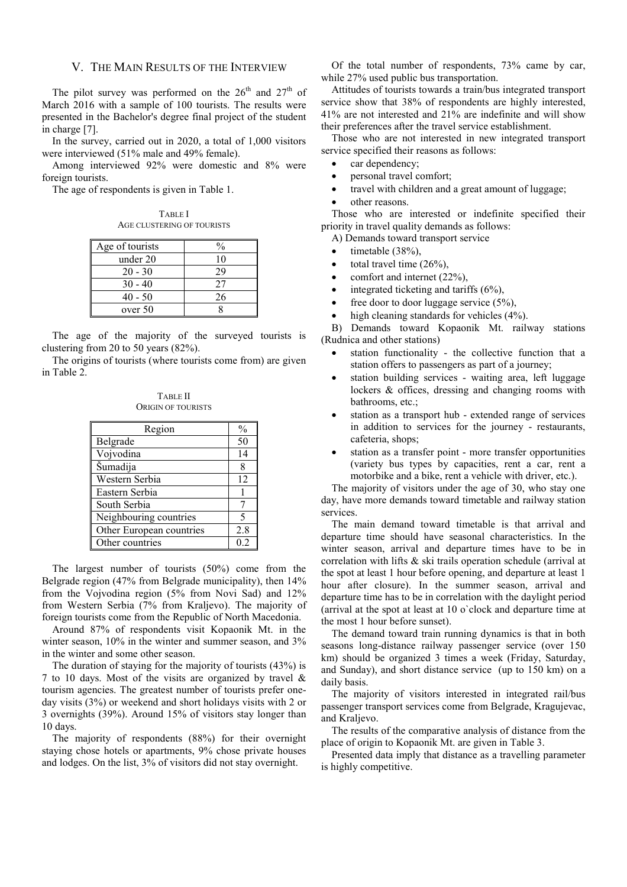# V. THE MAIN RESULTS OF THE INTERVIEW

The pilot survey was performed on the  $26<sup>th</sup>$  and  $27<sup>th</sup>$  of March 2016 with a sample of 100 tourists. The results were presented in the Bachelor's degree final project of the student in charge [7].

In the survey, carried out in 2020, a total of 1,000 visitors were interviewed (51% male and 49% female).

Among interviewed 92% were domestic and 8% were foreign tourists.

The age of respondents is given in Table 1.

TABLE I AGE CLUSTERING OF TOURISTS

| Age of tourists | Ω.  |
|-----------------|-----|
| under 20        | 10  |
| $20 - 30$       | ) g |
| $30 - 40$       | 27  |
| $40 - 50$       | 26  |
| over 50         |     |

The age of the majority of the surveyed tourists is clustering from 20 to 50 years (82%).

The origins of tourists (where tourists come from) are given in Table 2.

TABLE II ORIGIN OF TOURISTS

| Region                   | $\frac{0}{0}$ |
|--------------------------|---------------|
| Belgrade                 | 50            |
| Vojvodina                | 14            |
| Šumadija                 | 8             |
| Western Serbia           | 12            |
| Eastern Serbia           |               |
| South Serbia             |               |
| Neighbouring countries   | 5             |
| Other European countries | 2.8           |
| Other countries          | 0.2           |

The largest number of tourists (50%) come from the Belgrade region (47% from Belgrade municipality), then 14% from the Vojvodina region (5% from Novi Sad) and 12% from Western Serbia (7% from Kraljevo). The majority of foreign tourists come from the Republic of North Macedonia.

Around 87% of respondents visit Kopaonik Mt. in the winter season, 10% in the winter and summer season, and 3% in the winter and some other season.

The duration of staying for the majority of tourists (43%) is 7 to 10 days. Most of the visits are organized by travel & tourism agencies. The greatest number of tourists prefer oneday visits (3%) or weekend and short holidays visits with 2 or 3 overnights (39%). Around 15% of visitors stay longer than 10 days.

The majority of respondents (88%) for their overnight staying chose hotels or apartments, 9% chose private houses and lodges. On the list, 3% of visitors did not stay overnight.

Of the total number of respondents, 73% came by car, while 27% used public bus transportation.

Attitudes of tourists towards a train/bus integrated transport service show that 38% of respondents are highly interested, 41% are not interested and 21% are indefinite and will show their preferences after the travel service establishment.

Those who are not interested in new integrated transport service specified their reasons as follows:

- car dependency;
- personal travel comfort;
- travel with children and a great amount of luggage;
- other reasons.

Those who are interested or indefinite specified their priority in travel quality demands as follows:

A) Demands toward transport service

- timetable (38%).
- total travel time  $(26\%)$ ,
- comfort and internet  $(22\%)$ ,
- integrated ticketing and tariffs  $(6\%)$ .
- free door to door luggage service (5%),
- high cleaning standards for vehicles (4%).

B) Demands toward Kopaonik Mt. railway stations (Rudnica and other stations)

- station functionality the collective function that a station offers to passengers as part of a journey;
- station building services waiting area, left luggage lockers & offices, dressing and changing rooms with bathrooms, etc.;
- station as a transport hub extended range of services in addition to services for the journey - restaurants, cafeteria, shops;
- station as a transfer point more transfer opportunities (variety bus types by capacities, rent a car, rent a motorbike and a bike, rent a vehicle with driver, etc.).

The majority of visitors under the age of 30, who stay one day, have more demands toward timetable and railway station services.

The main demand toward timetable is that arrival and departure time should have seasonal characteristics. In the winter season, arrival and departure times have to be in correlation with lifts & ski trails operation schedule (arrival at the spot at least 1 hour before opening, and departure at least 1 hour after closure). In the summer season, arrival and departure time has to be in correlation with the daylight period (arrival at the spot at least at 10 o`clock and departure time at the most 1 hour before sunset).

The demand toward train running dynamics is that in both seasons long-distance railway passenger service (over 150 km) should be organized 3 times a week (Friday, Saturday, and Sunday), and short distance service (up to 150 km) on a daily basis.

The majority of visitors interested in integrated rail/bus passenger transport services come from Belgrade, Kragujevac, and Kraljevo.

The results of the comparative analysis of distance from the place of origin to Kopaonik Mt. are given in Table 3.

Presented data imply that distance as a travelling parameter is highly competitive.